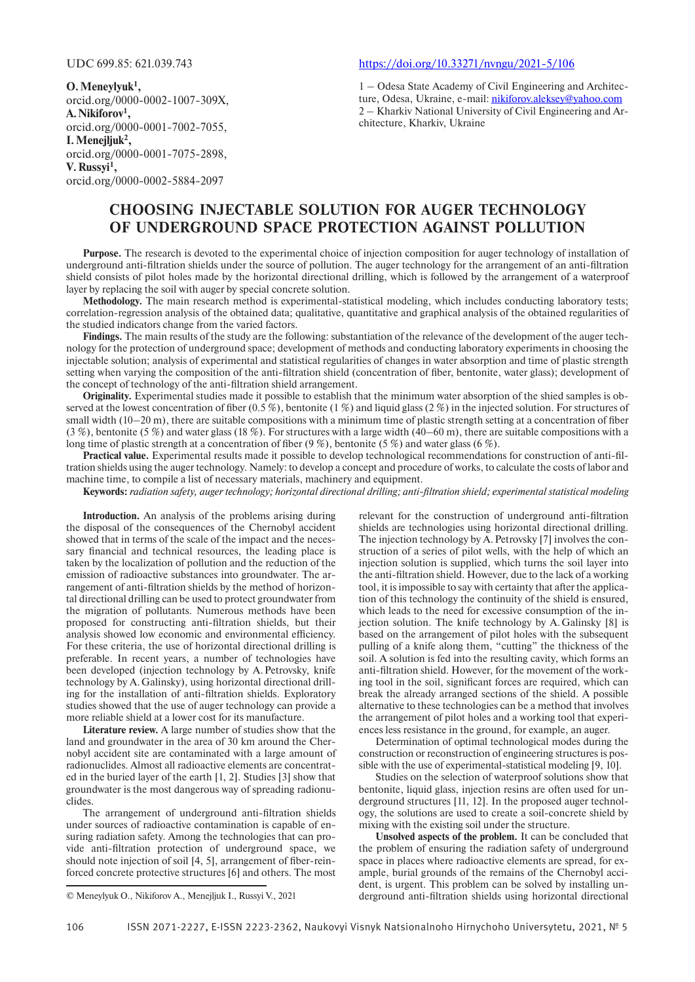**O.Meneylyuk1 ,** orcid.org/0000-0002-1007-309X, **A.Nikiforov1 ,** orcid.org/0000-0001-7002-7055, **I.Menejljuk2 ,** orcid.org/0000-0001-7075-2898, **V.Russyi1 ,** orcid.org/0000-0002-5884-2097

## UDC 699.85: 621.039.743 https://doi.org/10.33271/nvngu/2021-5/106

1 – Odesa State Academy of Civil Engineering and Architecture, Odesa, Ukraine, e-mail: nikiforov.aleksey@yahoo.com 2 – Kharkiv National University of Civil Engineering and Architecture, Kharkiv, Ukraine

# **CHOOSING INJECTABLE SOLUTION FOR AUGER TECHNOLOGY OF UNDERGROUND SPACE PROTECTION AGAINST POLLUTION**

**Purpose.** The research is devoted to the experimental choice of injection composition for auger technology of installation of underground anti-filtration shields under the source of pollution. The auger technology for the arrangement of an anti-filtration shield consists of pilot holes made by the horizontal directional drilling, which is followed by the arrangement of a waterproof layer by replacing the soil with auger by special concrete solution.

**Methodology.** The main research method is experimental-statistical modeling, which includes conducting laboratory tests; correlation-regression analysis of the obtained data; qualitative, quantitative and graphical analysis of the obtained regularities of the studied indicators change from the varied factors.

**Findings.** The main results of the study are the following: substantiation of the relevance of the development of the auger technology for the protection of underground space; development of methods and conducting laboratory experiments in choosing the injectable solution; analysis of experimental and statistical regularities of changes in water absorption and time of plastic strength setting when varying the composition of the anti-filtration shield (concentration of fiber, bentonite, water glass); development of the concept of technology of the anti-filtration shield arrangement.

**Originality.** Experimental studies made it possible to establish that the minimum water absorption of the shied samples is observed at the lowest concentration of fiber (0.5 %), bentonite (1 %) and liquid glass (2 %) in the injected solution. For structures of small width ( $10-20$  m), there are suitable compositions with a minimum time of plastic strength setting at a concentration of fiber (3 %), bentonite (5 %) and water glass (18 %). For structures with a large width (40–60 m), there are suitable compositions with a long time of plastic strength at a concentration of fiber (9 %), bentonite (5 %) and water glass (6 %).

**Practical value.** Experimental results made it possible to develop technological recommendations for construction of anti-filtration shields using the auger technology. Namely: to develop a concept and procedure of works, to calculate the costs of labor and machine time, to compile a list of necessary materials, machinery and equipment.

**Keywords:** *radiation safety, auger technology; horizontal directional drilling; anti-filtration shield; experimental statistical modeling*

**Introduction.** An analysis of the problems arising during the disposal of the consequences of the Chernobyl accident showed that in terms of the scale of the impact and the necessary financial and technical resources, the leading place is taken by the localization of pollution and the reduction of the emission of radioactive substances into groundwater. The arrangement of anti-filtration shields by the method of horizontal directional drilling can be used to protect groundwater from the migration of pollutants. Numerous methods have been proposed for constructing anti-filtration shields, but their analysis showed low economic and environmental efficiency. For these criteria, the use of horizontal directional drilling is preferable. In recent years, a number of technologies have been developed (injection technology by A.Petrovsky, knife technology by A.Galinsky), using horizontal directional drilling for the installation of anti-filtration shields. Exploratory studies showed that the use of auger technology can provide a more reliable shield at a lower cost for its manufacture.

**Literature review.** A large number of studies show that the land and groundwater in the area of 30 km around the Chernobyl accident site are contaminated with a large amount of radionuclides. Almost all radioactive elements are concentrated in the buried layer of the earth [1, 2]. Studies [3] show that groundwater is the most dangerous way of spreading radionuclides.

The arrangement of underground anti-filtration shields under sources of radioactive contamination is capable of ensuring radiation safety. Among the technologies that can provide anti-filtration protection of underground space, we should note injection of soil [4, 5], arrangement of fiber-reinforced concrete protective structures [6] and others. The most

© Meneylyuk O., Nikiforov A., Menejljuk I., Russyi V., 2021

relevant for the construction of underground anti-filtration shields are technologies using horizontal directional drilling. The injection technology by A. Petrovsky [7] involves the construction of a series of pilot wells, with the help of which an injection solution is supplied, which turns the soil layer into the anti-filtration shield. However, due to the lack of a working tool, it is impossible to say with certainty that after the application of this technology the continuity of the shield is ensured, which leads to the need for excessive consumption of the injection solution. The knife technology by A.Galinsky [8] is based on the arrangement of pilot holes with the subsequent pulling of a knife along them, "cutting" the thickness of the soil. A solution is fed into the resulting cavity, which forms an anti-filtration shield. However, for the movement of the working tool in the soil, significant forces are required, which can break the already arranged sections of the shield. A possible alternative to these technologies can be a method that involves the arrangement of pilot holes and a working tool that experiences less resistance in the ground, for example, an auger.

Determination of optimal technological modes during the construction or reconstruction of engineering structures is possible with the use of experimental-statistical modeling [9, 10].

Studies on the selection of waterproof solutions show that bentonite, liquid glass, injection resins are often used for underground structures [11, 12]. In the proposed auger technology, the solutions are used to create a soil-concrete shield by mixing with the existing soil under the structure.

**Unsolved aspects of the problem.** It can be concluded that the problem of ensuring the radiation safety of underground space in places where radioactive elements are spread, for example, burial grounds of the remains of the Chernobyl accident, is urgent. This problem can be solved by installing underground anti-filtration shields using horizontal directional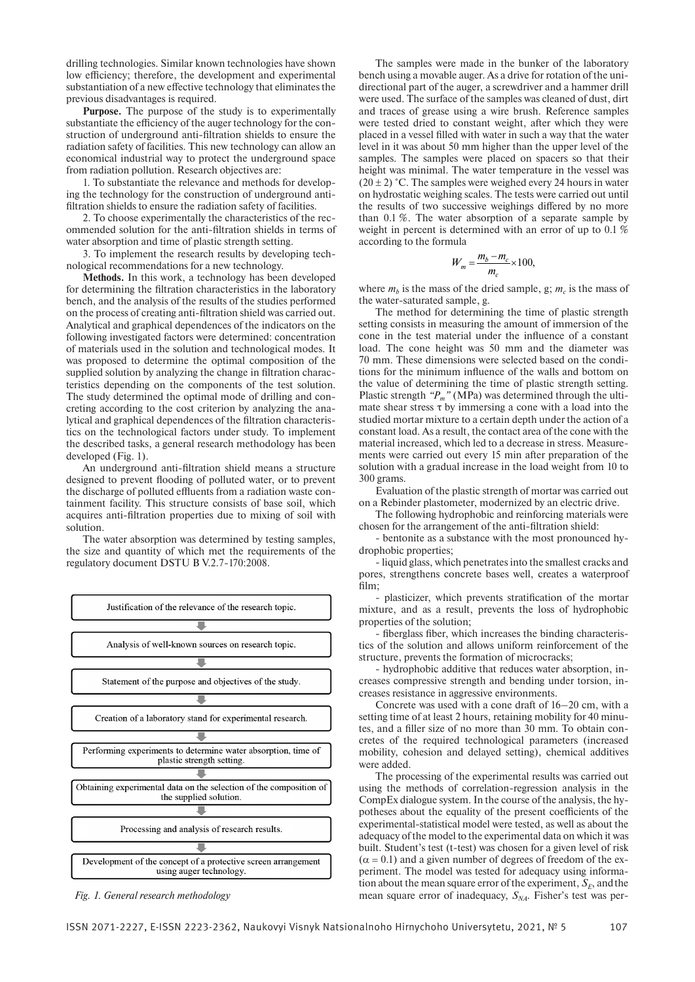drilling technologies. Similar known technologies have shown low efficiency; therefore, the development and experimental substantiation of a new effective technology that eliminates the previous disadvantages is required.

**Purpose.** The purpose of the study is to experimentally substantiate the efficiency of the auger technology for the construction of underground anti-filtration shields to ensure the radiation safety of facilities. This new technology can allow an economical industrial way to protect the underground space from radiation pollution. Research objectives are:

1. To substantiate the relevance and methods for developing the technology for the construction of underground antifiltration shields to ensure the radiation safety of facilities.

2. To choose experimentally the characteristics of the recommended solution for the anti-filtration shields in terms of water absorption and time of plastic strength setting.

3. To implement the research results by developing technological recommendations for a new technology.

**Methods.** In this work, a technology has been developed for determining the filtration characteristics in the laboratory bench, and the analysis of the results of the studies performed on the process of creating anti-filtration shield was carried out. Analytical and graphical dependences of the indicators on the following investigated factors were determined: concentration of materials used in the solution and technological modes. It was proposed to determine the optimal composition of the supplied solution by analyzing the change in filtration characteristics depending on the components of the test solution. The study determined the optimal mode of drilling and concreting according to the cost criterion by analyzing the analytical and graphical dependences of the filtration characteristics on the technological factors under study. To implement the described tasks, a general research methodology has been developed (Fig. 1).

An underground anti-filtration shield means a structure designed to prevent flooding of polluted water, or to prevent the discharge of polluted effluents from a radiation waste containment facility. This structure consists of base soil, which acquires anti-filtration properties due to mixing of soil with solution.

The water absorption was determined by testing samples, the size and quantity of which met the requirements of the regulatory document DSTU B V.2.7-170:2008.



The samples were made in the bunker of the laboratory bench using a movable auger. As a drive for rotation of the unidirectional part of the auger, a screwdriver and a hammer drill were used. The surface of the samples was cleaned of dust, dirt and traces of grease using a wire brush. Reference samples were tested dried to constant weight, after which they were placed in a vessel filled with water in such a way that the water level in it was about 50 mm higher than the upper level of the samples. The samples were placed on spacers so that their height was minimal. The water temperature in the vessel was  $(20 \pm 2)$  °C. The samples were weighed every 24 hours in water on hydrostatic weighing scales. The tests were carried out until the results of two successive weighings differed by no more than 0.1 %. The water absorption of a separate sample by weight in percent is determined with an error of up to 0.1 % according to the formula

$$
W_m = \frac{m_b - m_c}{m_c} \times 100,
$$

where  $m_b$  is the mass of the dried sample, g;  $m_c$  is the mass of the water-saturated sample, g.

The method for determining the time of plastic strength setting consists in measuring the amount of immersion of the cone in the test material under the influence of a constant load. The cone height was 50 mm and the diameter was 70 mm. These dimensions were selected based on the conditions for the minimum influence of the walls and bottom on the value of determining the time of plastic strength setting. Plastic strength "P<sub>m</sub>" (MPa) was determined through the ultimate shear stress  $\tau$  by immersing a cone with a load into the studied mortar mixture to a certain depth under the action of a constant load. As a result, the contact area of the cone with the material increased, which led to a decrease in stress. Measurements were carried out every 15 min after preparation of the solution with a gradual increase in the load weight from 10 to 300 grams.

Evaluation of the plastic strength of mortar was carried out on a Rebinder plastometer, modernized by an electric drive.

The following hydrophobic and reinforcing materials were chosen for the arrangement of the anti-filtration shield:

- bentonite as a substance with the most pronounced hydrophobic properties;

- liquid glass, which penetrates into the smallest cracks and pores, strengthens concrete bases well, creates a waterproof film;

- plasticizer, which prevents stratification of the mortar mixture, and as a result, prevents the loss of hydrophobic properties of the solution;

- fiberglass fiber, which increases the binding characteristics of the solution and allows uniform reinforcement of the structure, prevents the formation of microcracks;

- hydrophobic additive that reduces water absorption, increases compressive strength and bending under torsion, increases resistance in aggressive environments.

Concrete was used with a cone draft of 16–20 cm, with a setting time of at least 2 hours, retaining mobility for 40 minutes, and a filler size of no more than 30 mm. To obtain concretes of the required technological parameters (increased mobility, cohesion and delayed setting), chemical additives were added.

The processing of the experimental results was carried out using the methods of correlation-regression analysis in the CompEx dialogue system. In the course of the analysis, the hypotheses about the equality of the present coefficients of the experimental-statistical model were tested, as well as about the adequacy of the model to the experimental data on which it was built. Student's test (t-test) was chosen for a given level of risk  $(\alpha = 0.1)$  and a given number of degrees of freedom of the experiment. The model was tested for adequacy using information about the mean square error of the experiment,  $S<sub>F</sub>$ , and the Fig. 1. General research methodology *Fig. 1. General research methodology Fig. 1. General research methodology Fig. 1. General research methodology Fig. 1. General research methodology*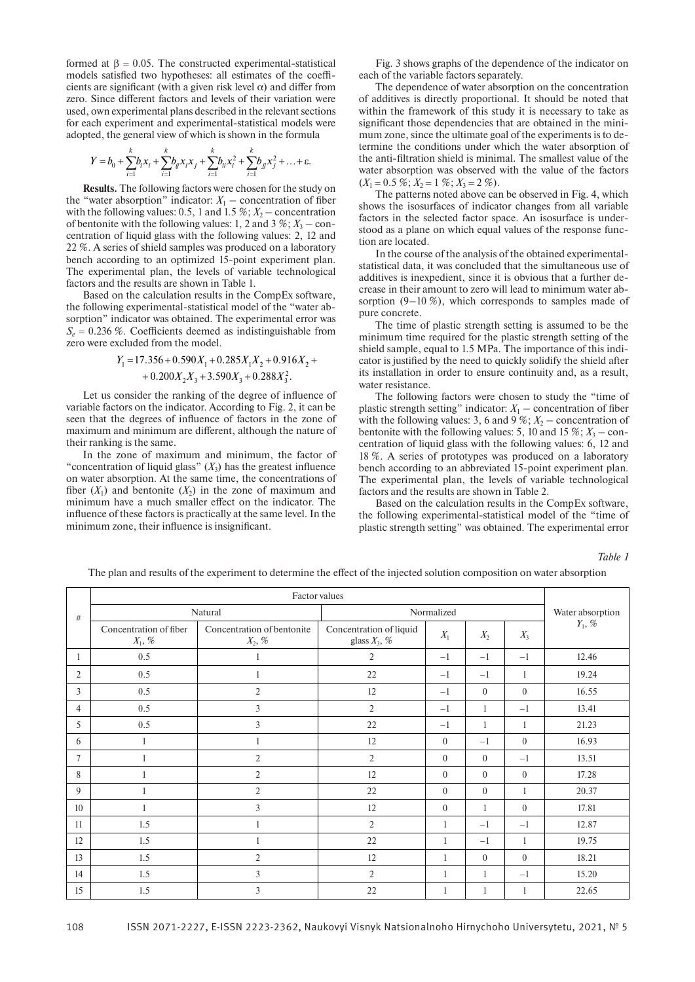formed at β = 0.05. The constructed experimental-statistical models satisfied two hypotheses: all estimates of the coefficients are significant (with a given risk level  $\alpha$ ) and differ from zero. Since different factors and levels of their variation were used, own experimental plans described in the relevant sections for each experiment and experimental-statistical models were adopted, the general view of which is shown in the formula

$$
Y = b_0 + \sum_{i=1}^k b_i x_i + \sum_{i=1}^k b_{ij} x_i x_j + \sum_{i=1}^k b_{ii} x_i^2 + \sum_{i=1}^k b_{ij} x_j^2 + \ldots + \varepsilon.
$$

**Results.** The following factors were chosen for the study on the "water absorption" indicator:  $X_1$  – concentration of fiber with the following values: 0.5, 1 and 1.5  $\%$ ;  $X_2$  – concentration of bentonite with the following values: 1, 2 and 3  $\%$ ;  $X_3$  – concentration of liquid glass with the following values: 2, 12 and 22 %. A series of shield samples was produced on a laboratory bench according to an optimized 15-point experiment plan. The experimental plan, the levels of variable technological factors and the results are shown in Table 1.

Based on the calculation results in the CompEx software, the following experimental-statistical model of the "water absorption" indicator was obtained. The experimental error was  $S<sub>e</sub> = 0.236 %$ . Coefficients deemed as indistinguishable from zero were excluded from the model.

$$
Y_1 = 17.356 + 0.590X_1 + 0.285X_1X_2 + 0.916X_2 +
$$
  
+ 0.200X<sub>2</sub>X<sub>3</sub> + 3.590X<sub>3</sub> + 0.288X<sub>3</sub><sup>2</sup>.

Let us consider the ranking of the degree of influence of variable factors on the indicator. According to Fig. 2, it can be seen that the degrees of influence of factors in the zone of maximum and minimum are different, although the nature of their ranking is the same.

In the zone of maximum and minimum, the factor of "concentration of liquid glass"  $(X_3)$  has the greatest influence on water absorption. At the same time, the concentrations of fiber  $(X_1)$  and bentonite  $(X_2)$  in the zone of maximum and minimum have a much smaller effect on the indicator. The influence of these factors is practically at the same level. In the minimum zone, their influence is insignificant.

Fig. 3 shows graphs of the dependence of the indicator on each of the variable factors separately.

The dependence of water absorption on the concentration of additives is directly proportional. It should be noted that within the framework of this study it is necessary to take as significant those dependencies that are obtained in the minimum zone, since the ultimate goal of the experiments is to determine the conditions under which the water absorption of the anti-filtration shield is minimal. The smallest value of the water absorption was observed with the value of the factors  $(X_1 = 0.5 \, \% ; X_2 = 1 \, \% ; X_3 = 2 \, \%).$ 

The patterns noted above can be observed in Fig. 4, which shows the isosurfaces of indicator changes from all variable factors in the selected factor space. An isosurface is understood as a plane on which equal values of the response function are located.

In the course of the analysis of the obtained experimentalstatistical data, it was concluded that the simultaneous use of additives is inexpedient, since it is obvious that a further decrease in their amount to zero will lead to minimum water absorption  $(9-10\%)$ , which corresponds to samples made of pure concrete.

The time of plastic strength setting is assumed to be the minimum time required for the plastic strength setting of the shield sample, equal to 1.5 MPa. The importance of this indicator is justified by the need to quickly solidify the shield after its installation in order to ensure continuity and, as a result, water resistance.

The following factors were chosen to study the "time of plastic strength setting" indicator:  $X_1$  – concentration of fiber with the following values: 3, 6 and 9 %;  $X_2$  – concentration of bentonite with the following values: 5, 10 and 15  $\%$ ;  $X_3$  – concentration of liquid glass with the following values: 6, 12 and 18 %. A series of prototypes was produced on a laboratory bench according to an abbreviated 15-point experiment plan. The experimental plan, the levels of variable technological factors and the results are shown in Table 2.

Based on the calculation results in the CompEx software, the following experimental-statistical model of the "time of plastic strength setting" was obtained. The experimental error

*Table 1*

The plan and results of the experiment to determine the effect of the injected solution composition on water absorption

| #              | Natural                                      |                                                  | Normalized                                 |                |                |                | Water absorption |
|----------------|----------------------------------------------|--------------------------------------------------|--------------------------------------------|----------------|----------------|----------------|------------------|
|                | Concentration of fiber<br>$X_1, \mathcal{C}$ | Concentration of bentonite<br>$X_2, \mathcal{C}$ | Concentration of liquid<br>glass $X_3$ , % | $X_1$          | $X_2$          | $X_3$          | $Y_1, \, \%$     |
| 1              | 0.5                                          | 1                                                | 2                                          | $-1$           | $-1$           | $-1$           | 12.46            |
| $\overline{2}$ | 0.5                                          |                                                  | 22                                         | $-1$           | $-1$           | $\mathbf{1}$   | 19.24            |
| 3              | 0.5                                          | $\overline{2}$                                   | 12                                         | $-1$           | $\theta$       | $\theta$       | 16.55            |
| $\overline{4}$ | 0.5                                          | 3                                                | $\overline{2}$                             | $-1$           | 1              | $-1$           | 13.41            |
| 5              | 0.5                                          | 3                                                | 22                                         | $-1$           | 1              | 1              | 21.23            |
| 6              | 1                                            |                                                  | 12                                         | $\overline{0}$ | $-1$           | $\theta$       | 16.93            |
| 7              |                                              | $\overline{2}$                                   | $\overline{2}$                             | $\overline{0}$ | $\theta$       | $-1$           | 13.51            |
| 8              |                                              | $\overline{2}$                                   | 12                                         | $\overline{0}$ | $\mathbf{0}$   | $\overline{0}$ | 17.28            |
| 9              |                                              | $\overline{2}$                                   | 22                                         | $\overline{0}$ | $\mathbf{0}$   | 1              | 20.37            |
| 10             |                                              | 3                                                | 12                                         | $\overline{0}$ | $\mathbf{1}$   | $\mathbf{0}$   | 17.81            |
| 11             | 1.5                                          |                                                  | $\overline{2}$                             | 1              | $-1$           | $-1$           | 12.87            |
| 12             | 1.5                                          |                                                  | 22                                         | 1              | $-1$           | -1             | 19.75            |
| 13             | 1.5                                          | $\overline{2}$                                   | 12                                         | $\mathbf{1}$   | $\overline{0}$ | $\mathbf{0}$   | 18.21            |
| 14             | 1.5                                          | 3                                                | $\overline{2}$                             | $\mathbf{1}$   | 1              | $-1$           | 15.20            |
| 15             | 1.5                                          | 3                                                | 22                                         | 1              | $\mathbf{1}$   | 1              | 22.65            |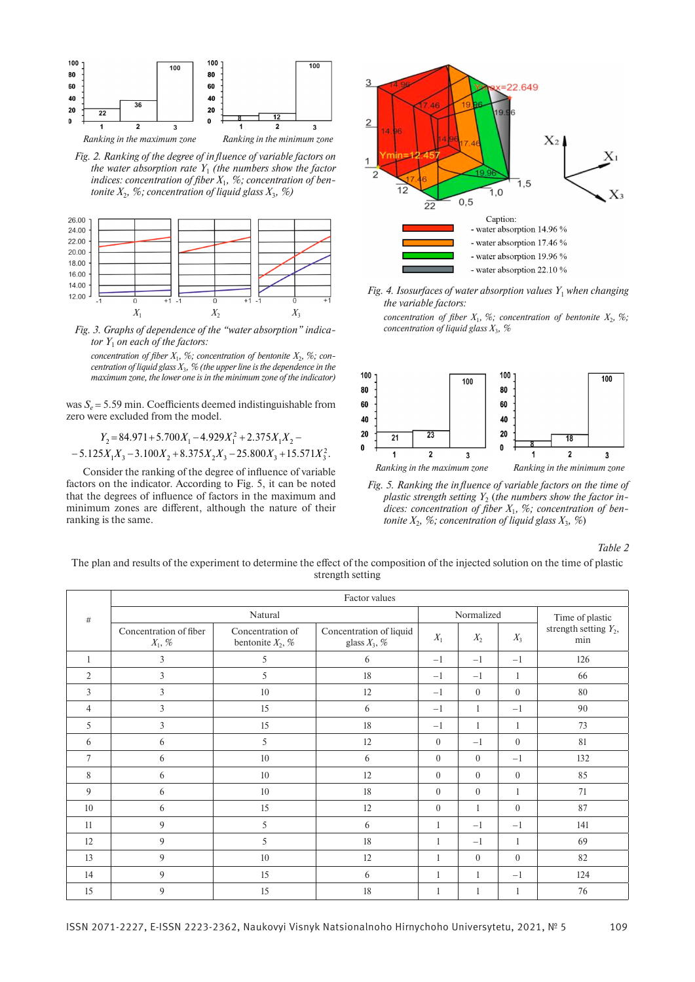

*Fig. 2. Ranking of the degree of influence of variable factors on the water absorption rate*  $Y_1$  *(the numbers show the factor indices: concentration of fiber X*1*, %; concentration of bentonite*  $X_2$ *, %; concentration of liquid glass*  $X_3$ *, %)* 



*Fig. 3. Graphs of dependence of the "water absorption" indicator Y*1 *on each of the factors:*

*concentration of fiber*  $X_1$ *, %; concentration of bentonite*  $X_2$ *, %; concentration of liquid glass X*3*, % (the upper line is the dependence in the maximum zone, the lower one is in the minimum zone of the indicator)*

was  $S_e$  = 5.59 min. Coefficients deemed indistinguishable from zero were excluded from the model.

$$
Y_2 = 84.971 + 5.700X_1 - 4.929X_1^2 + 2.375X_1X_2 -
$$
  
- 5.125X<sub>1</sub>X<sub>3</sub> - 3.100X<sub>2</sub> + 8.375X<sub>2</sub>X<sub>3</sub> - 25.800X<sub>3</sub> + 15.571X<sub>3</sub><sup>2</sup>.

Consider the ranking of the degree of influence of variable factors on the indicator. According to Fig. 5, it can be noted that the degrees of influence of factors in the maximum and minimum zones are different, although the nature of their ranking is the same.



- *Fig. 4. Isosurfaces of water absorption values Y*1 *when changing the variable factors:*
	- *concentration of fiber*  $X_1$ *, %; concentration of bentonite*  $X_2$ *, %; concentration of liquid glass X*3*, %*



*Fig. 5. Ranking the influence of variable factors on the time of plastic strength setting*  $Y_2$  (*the numbers show the factor indices: concentration of fiber X*1*, %; concentration of bentonite*  $X_2$ *, %; concentration of liquid glass*  $X_3$ *, %*)

*Table 2*

The plan and results of the experiment to determine the effect of the composition of the injected solution on the time of plastic strength setting

|                 | Factor values                                |                                         |                                            |              |              |              |                                 |  |  |  |
|-----------------|----------------------------------------------|-----------------------------------------|--------------------------------------------|--------------|--------------|--------------|---------------------------------|--|--|--|
| #               | Natural                                      |                                         |                                            | Normalized   |              |              | Time of plastic                 |  |  |  |
|                 | Concentration of fiber<br>$X_1, \mathcal{C}$ | Concentration of<br>bentonite $X_2$ , % | Concentration of liquid<br>glass $X_3$ , % | $X_1$        | $X_2$        | $X_3$        | strength setting $Y_2$ ,<br>min |  |  |  |
| 1               | $\overline{3}$                               | 5                                       | 6                                          | $-1$         | $-1$         | $-1$         | 126                             |  |  |  |
| $\overline{2}$  | $\overline{3}$                               | 5                                       | 18                                         | $-1$         | $-1$         | $\mathbf{1}$ | 66                              |  |  |  |
| $\overline{3}$  | $\overline{3}$                               | 10                                      | 12                                         | $-1$         | $\theta$     | $\mathbf{0}$ | 80                              |  |  |  |
| $\overline{4}$  | $\overline{3}$                               | 15                                      | 6                                          | $-1$         | $\mathbf{1}$ | $-1$         | 90                              |  |  |  |
| 5               | $\overline{3}$                               | 15                                      | 18                                         | $-1$         | $\mathbf{1}$ | $\mathbf{1}$ | 73                              |  |  |  |
| 6               | 6                                            | 5                                       | 12                                         | $\mathbf{0}$ | $-1$         | $\mathbf{0}$ | 81                              |  |  |  |
| 7               | 6                                            | 10                                      | 6                                          | $\theta$     | $\theta$     | $-1$         | 132                             |  |  |  |
| 8               | 6                                            | 10                                      | 12                                         | $\mathbf{0}$ | $\Omega$     | $\mathbf{0}$ | 85                              |  |  |  |
| 9               | 6                                            | 10                                      | 18                                         | $\theta$     | $\theta$     | $\mathbf{1}$ | 71                              |  |  |  |
| 10 <sup>1</sup> | 6                                            | 15                                      | 12                                         | $\theta$     | 1            | $\theta$     | 87                              |  |  |  |
| 11              | 9                                            | 5                                       | 6                                          | 1            | $-1$         | $-1$         | 141                             |  |  |  |
| 12              | 9                                            | 5                                       | 18                                         | 1            | $-1$         | $\mathbf{1}$ | 69                              |  |  |  |
| 13              | 9                                            | 10                                      | 12                                         | 1            | $\Omega$     | $\theta$     | 82                              |  |  |  |
| 14              | 9                                            | 15                                      | 6                                          | 1            |              | $-1$         | 124                             |  |  |  |
| 15              | 9                                            | 15                                      | 18                                         | 1            |              | 1            | 76                              |  |  |  |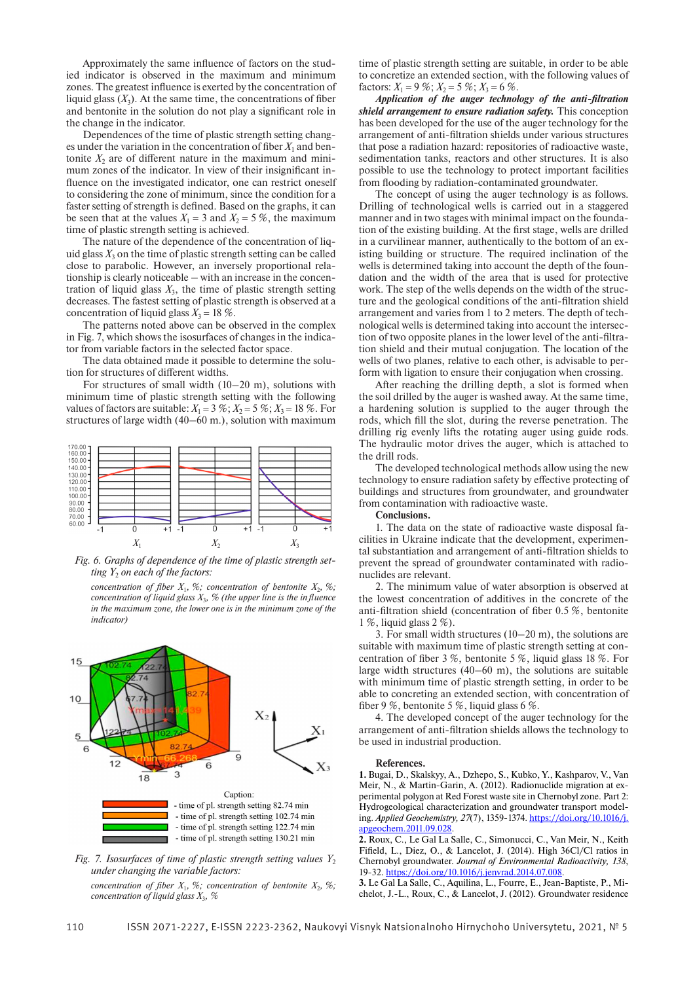Approximately the same influence of factors on the studied indicator is observed in the maximum and minimum zones. The greatest influence is exerted by the concentration of liquid glass  $(X_2)$ . At the same time, the concentrations of fiber and bentonite in the solution do not play a significant role in the change in the indicator.

Dependences of the time of plastic strength setting changes under the variation in the concentration of fiber  $X_1$  and bentonite  $X_2$  are of different nature in the maximum and minimum zones of the indicator. In view of their insignificant influence on the investigated indicator, one can restrict oneself to considering the zone of minimum, since the condition for a faster setting of strength is defined. Based on the graphs, it can be seen that at the values  $X_1 = 3$  and  $X_2 = 5\%$ , the maximum time of plastic strength setting is achieved.

The nature of the dependence of the concentration of liquid glass  $X_3$  on the time of plastic strength setting can be called close to parabolic. However, an inversely proportional relationship is clearly noticeable – with an increase in the concentration of liquid glass  $X_3$ , the time of plastic strength setting decreases. The fastest setting of plastic strength is observed at a concentration of liquid glass  $X_3 = 18\%$ .

The patterns noted above can be observed in the complex in Fig. 7, which shows the isosurfaces of changes in the indicator from variable factors in the selected factor space.

The data obtained made it possible to determine the solution for structures of different widths.

For structures of small width (10–20 m), solutions with minimum time of plastic strength setting with the following values of factors are suitable:  $X_1 = 3\%$ ;  $X_2 = 5\%$ ;  $X_3 = 18\%$ . For structures of large width (40–60 m.), solution with maximum



*Fig. 6. Graphs of dependence of the time of plastic strength setting Y<sub>2</sub> on each of the factors:* 

*concentration of fiber*  $X_1$ *, %; concentration of bentonite*  $X_2$ *, %; concentration of liquid glass X*3*, % (the upper line is the influence in the maximum zone, the lower one is in the minimum zone of the indicator)*



*Fig. 7. Isosurfaces of time of plastic strength setting values Y*<sup>2</sup> *under changing the variable factors:*

*concentration of fiber*  $X_1$ *, %; concentration of bentonite*  $X_2$ *, %; concentration of liquid glass X*3*, %*

time of plastic strength setting are suitable, in order to be able to concretize an extended section, with the following values of factors:  $X_1 = 9\%$ ;  $X_2 = 5\%$ ;  $X_3 = 6\%$ .

*Application of the auger technology of the anti-filtration shield arrangement to ensure radiation safety.* This conception has been developed for the use of the auger technology for the arrangement of anti-filtration shields under various structures that pose a radiation hazard: repositories of radioactive waste, sedimentation tanks, reactors and other structures. It is also possible to use the technology to protect important facilities from flooding by radiation-contaminated groundwater.

The concept of using the auger technology is as follows. Drilling of technological wells is carried out in a staggered manner and in two stages with minimal impact on the foundation of the existing building. At the first stage, wells are drilled in a curvilinear manner, authentically to the bottom of an existing building or structure. The required inclination of the wells is determined taking into account the depth of the foundation and the width of the area that is used for protective work. The step of the wells depends on the width of the structure and the geological conditions of the anti-filtration shield arrangement and varies from 1 to 2 meters. The depth of technological wells is determined taking into account the intersection of two opposite planes in the lower level of the anti-filtration shield and their mutual conjugation. The location of the wells of two planes, relative to each other, is advisable to perform with ligation to ensure their conjugation when crossing.

After reaching the drilling depth, a slot is formed when the soil drilled by the auger is washed away. At the same time, a hardening solution is supplied to the auger through the rods, which fill the slot, during the reverse penetration. The drilling rig evenly lifts the rotating auger using guide rods. The hydraulic motor drives the auger, which is attached to the drill rods.

The developed technological methods allow using the new technology to ensure radiation safety by effective protecting of buildings and structures from groundwater, and groundwater from contamination with radioactive waste.

### **Conclusions.**

1. The data on the state of radioactive waste disposal facilities in Ukraine indicate that the development, experimental substantiation and arrangement of anti-filtration shields to prevent the spread of groundwater contaminated with radionuclides are relevant.

2. The minimum value of water absorption is observed at the lowest concentration of additives in the concrete of the anti-filtration shield (concentration of fiber 0.5 %, bentonite 1 %, liquid glass 2 %).

3. For small width structures (10–20 m), the solutions are suitable with maximum time of plastic strength setting at concentration of fiber 3 %, bentonite 5 %, liquid glass 18 %. For large width structures (40–60 m), the solutions are suitable with minimum time of plastic strength setting, in order to be able to concreting an extended section, with concentration of fiber 9 %, bentonite 5 %, liquid glass 6 %.

4. The developed concept of the auger technology for the arrangement of anti-filtration shields allows the technology to be used in industrial production.

#### **References.**

**1.** Bugai, D., Skalskyy, A., Dzhepo, S., Kubko, Y., Kashparov, V., Van Meir, N., & Martin-Garin, A. (2012). Radionuclide migration at experimental polygon at Red Forest waste site in Chernobyl zone. Part 2: Hydrogeological characterization and groundwater transport modeling. *Applied Geochemistry, 27*(7), 1359-1374. https://doi.org/10.1016/j. apgeochem.2011.09.028.

**2.** Roux, C., Le Gal La Salle, C., Simonucci, C., Van Meir, N., Keith Fifield, L., Diez, O., & Lancelot, J. (2014). High 36Cl/Cl ratios in Chernobyl groundwater. *Journal of Environmental Radioactivity, 138*, 19-32. https://doi.org/10.1016/j.jenvrad.2014.07.008.

**3.** Le Gal La Salle, C., Aquilina, L., Fourre, E., Jean-Baptiste, P., Michelot, J.-L., Roux, C., & Lancelot, J. (2012). Groundwater residence